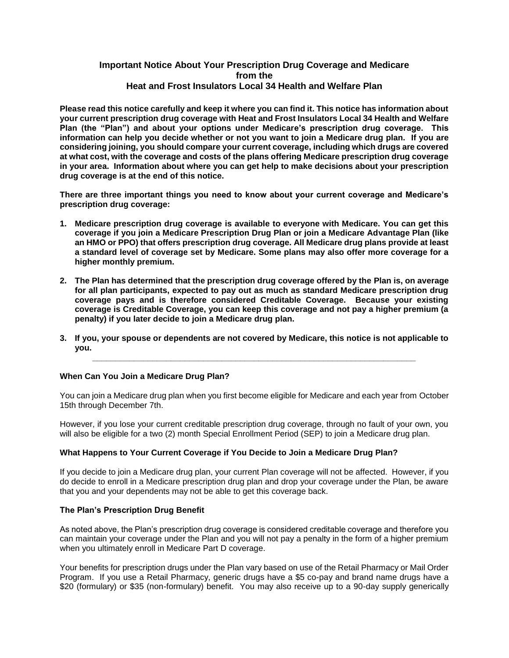# **Important Notice About Your Prescription Drug Coverage and Medicare from the Heat and Frost Insulators Local 34 Health and Welfare Plan**

**Please read this notice carefully and keep it where you can find it. This notice has information about your current prescription drug coverage with Heat and Frost Insulators Local 34 Health and Welfare Plan (the "Plan") and about your options under Medicare's prescription drug coverage. This information can help you decide whether or not you want to join a Medicare drug plan. If you are considering joining, you should compare your current coverage, including which drugs are covered at what cost, with the coverage and costs of the plans offering Medicare prescription drug coverage in your area. Information about where you can get help to make decisions about your prescription drug coverage is at the end of this notice.**

**There are three important things you need to know about your current coverage and Medicare's prescription drug coverage:** 

- **1. Medicare prescription drug coverage is available to everyone with Medicare. You can get this coverage if you join a Medicare Prescription Drug Plan or join a Medicare Advantage Plan (like an HMO or PPO) that offers prescription drug coverage. All Medicare drug plans provide at least a standard level of coverage set by Medicare. Some plans may also offer more coverage for a higher monthly premium.**
- **2. The Plan has determined that the prescription drug coverage offered by the Plan is, on average for all plan participants, expected to pay out as much as standard Medicare prescription drug coverage pays and is therefore considered Creditable Coverage. Because your existing coverage is Creditable Coverage, you can keep this coverage and not pay a higher premium (a penalty) if you later decide to join a Medicare drug plan.**
- **3. If you, your spouse or dependents are not covered by Medicare, this notice is not applicable to you. \_\_\_\_\_\_\_\_\_\_\_\_\_\_\_\_\_\_\_\_\_\_\_\_\_\_\_\_\_\_\_\_\_\_\_\_\_\_\_\_\_\_\_\_\_\_\_\_\_\_\_\_\_\_\_\_\_\_\_\_\_\_\_\_\_\_\_\_\_\_**

#### **When Can You Join a Medicare Drug Plan?**

You can join a Medicare drug plan when you first become eligible for Medicare and each year from October 15th through December 7th.

However, if you lose your current creditable prescription drug coverage, through no fault of your own, you will also be eligible for a two (2) month Special Enrollment Period (SEP) to join a Medicare drug plan.

### **What Happens to Your Current Coverage if You Decide to Join a Medicare Drug Plan?**

If you decide to join a Medicare drug plan, your current Plan coverage will not be affected. However, if you do decide to enroll in a Medicare prescription drug plan and drop your coverage under the Plan, be aware that you and your dependents may not be able to get this coverage back.

#### **The Plan's Prescription Drug Benefit**

As noted above, the Plan's prescription drug coverage is considered creditable coverage and therefore you can maintain your coverage under the Plan and you will not pay a penalty in the form of a higher premium when you ultimately enroll in Medicare Part D coverage.

Your benefits for prescription drugs under the Plan vary based on use of the Retail Pharmacy or Mail Order Program. If you use a Retail Pharmacy, generic drugs have a \$5 co-pay and brand name drugs have a \$20 (formulary) or \$35 (non-formulary) benefit. You may also receive up to a 90-day supply generically